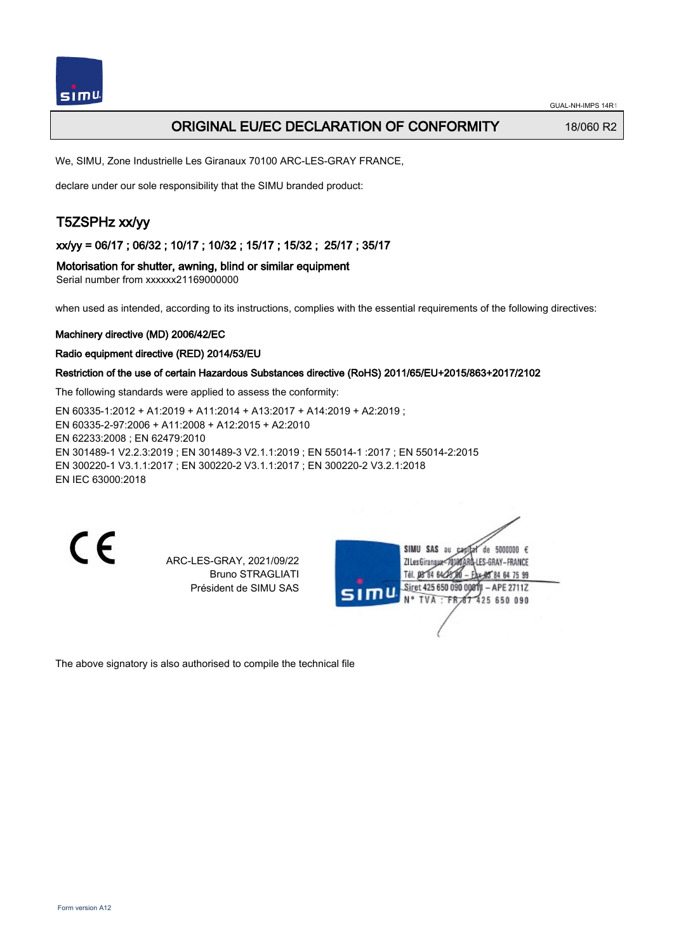

## ORIGINAL EU/EC DECLARATION OF CONFORMITY 18/060 R2

We, SIMU, Zone Industrielle Les Giranaux 70100 ARC-LES-GRAY FRANCE,

declare under our sole responsibility that the SIMU branded product:

# T5ZSPHz xx/yy

xx/yy = 06/17 ; 06/32 ; 10/17 ; 10/32 ; 15/17 ; 15/32 ; 25/17 ; 35/17

Motorisation for shutter, awning, blind or similar equipment

Serial number from xxxxxx21169000000

when used as intended, according to its instructions, complies with the essential requirements of the following directives:

#### Machinery directive (MD) 2006/42/EC

Radio equipment directive (RED) 2014/53/EU

#### Restriction of the use of certain Hazardous Substances directive (RoHS) 2011/65/EU+2015/863+2017/2102

The following standards were applied to assess the conformity:

EN 60335‑1:2012 + A1:2019 + A11:2014 + A13:2017 + A14:2019 + A2:2019 ; EN 60335‑2‑97:2006 + A11:2008 + A12:2015 + A2:2010 EN 62233:2008 ; EN 62479:2010 EN 301489‑1 V2.2.3:2019 ; EN 301489‑3 V2.1.1:2019 ; EN 55014‑1 :2017 ; EN 55014‑2:2015 EN 300220‑1 V3.1.1:2017 ; EN 300220‑2 V3.1.1:2017 ; EN 300220‑2 V3.2.1:2018 EN IEC 63000:2018

 $\epsilon$ 

ARC-LES-GRAY, 2021/09/22 Bruno STRAGLIATI Président de SIMU SAS

de 5000000  $\epsilon$ **ZILesGiranaua** ES-GRAY-FRANCE THE DR'RA 64/2 85 84 64 75 99 Siret 425 650 090 00811 - APE 2711Z FR 67 425 650 090 **TVA** 

The above signatory is also authorised to compile the technical file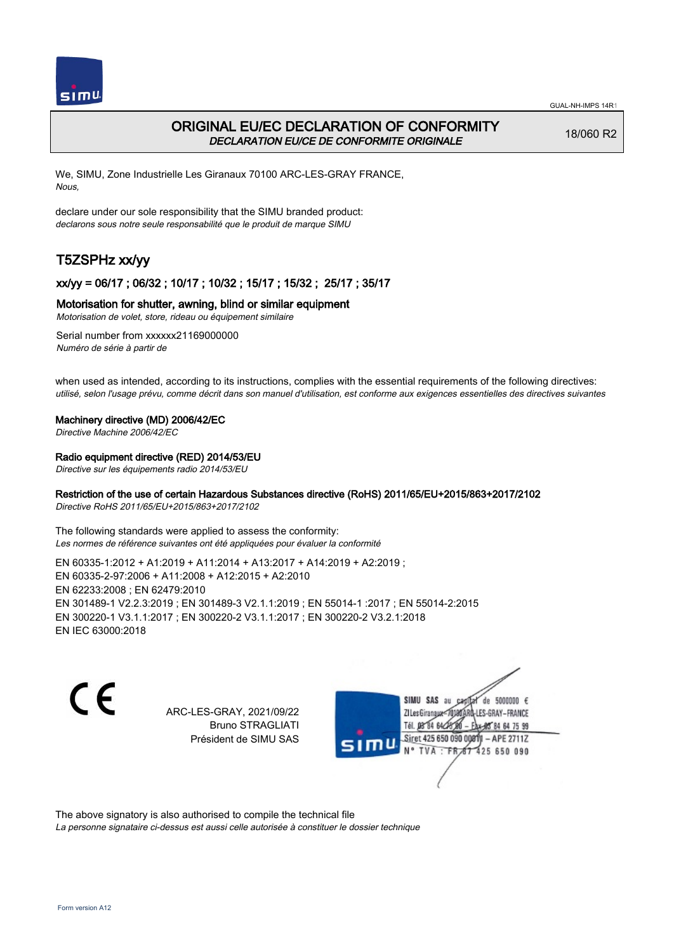

# ORIGINAL EU/EC DECLARATION OF CONFORMITY DECLARATION EU/CE DE CONFORMITE ORIGINALE

18/060 R2

We, SIMU, Zone Industrielle Les Giranaux 70100 ARC-LES-GRAY FRANCE, Nous,

declare under our sole responsibility that the SIMU branded product: declarons sous notre seule responsabilité que le produit de marque SIMU

# T5ZSPHz xx/yy

## xx/yy = 06/17 ; 06/32 ; 10/17 ; 10/32 ; 15/17 ; 15/32 ; 25/17 ; 35/17

### Motorisation for shutter, awning, blind or similar equipment

Motorisation de volet, store, rideau ou équipement similaire

Serial number from xxxxxx21169000000 Numéro de série à partir de

when used as intended, according to its instructions, complies with the essential requirements of the following directives: utilisé, selon l'usage prévu, comme décrit dans son manuel d'utilisation, est conforme aux exigences essentielles des directives suivantes

#### Machinery directive (MD) 2006/42/EC

Directive Machine 2006/42/EC

#### Radio equipment directive (RED) 2014/53/EU

Directive sur les équipements radio 2014/53/EU

### Restriction of the use of certain Hazardous Substances directive (RoHS) 2011/65/EU+2015/863+2017/2102

Directive RoHS 2011/65/EU+2015/863+2017/2102

The following standards were applied to assess the conformity: Les normes de référence suivantes ont été appliquées pour évaluer la conformité

EN 60335‑1:2012 + A1:2019 + A11:2014 + A13:2017 + A14:2019 + A2:2019 ; EN 60335‑2‑97:2006 + A11:2008 + A12:2015 + A2:2010 EN 62233:2008 ; EN 62479:2010 EN 301489‑1 V2.2.3:2019 ; EN 301489‑3 V2.1.1:2019 ; EN 55014‑1 :2017 ; EN 55014‑2:2015 EN 300220‑1 V3.1.1:2017 ; EN 300220‑2 V3.1.1:2017 ; EN 300220‑2 V3.2.1:2018 EN IEC 63000:2018

 $\epsilon$ 

ARC-LES-GRAY, 2021/09/22 Bruno STRAGLIATI Président de SIMU SAS



The above signatory is also authorised to compile the technical file

La personne signataire ci-dessus est aussi celle autorisée à constituer le dossier technique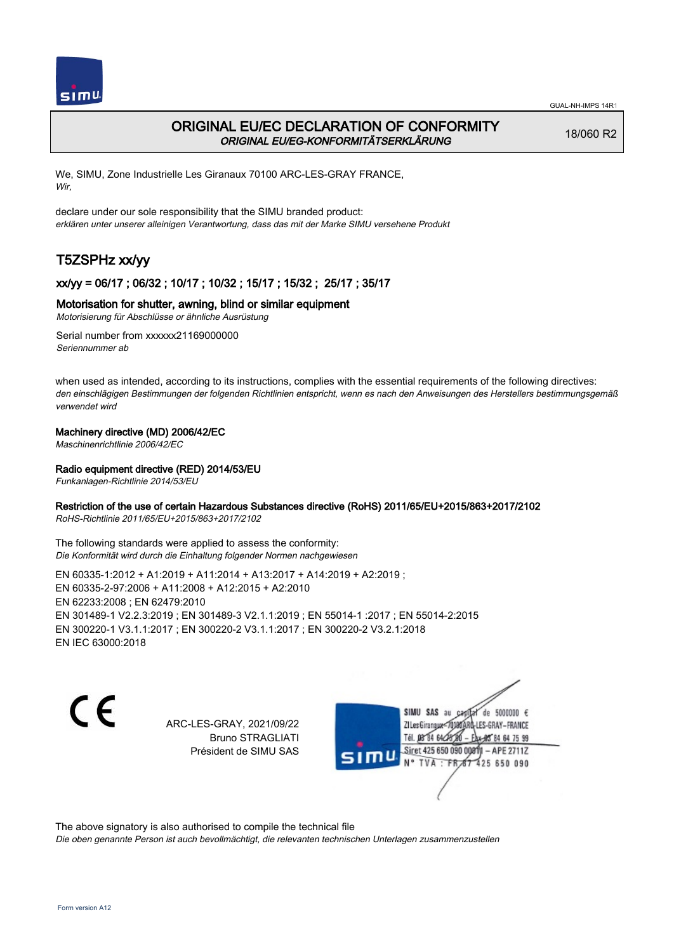

# ORIGINAL EU/EC DECLARATION OF CONFORMITY ORIGINAL EU/EG-KONFORMITÄTSERKLÄRUNG

18/060 R2

We, SIMU, Zone Industrielle Les Giranaux 70100 ARC-LES-GRAY FRANCE, Wir,

declare under our sole responsibility that the SIMU branded product: erklären unter unserer alleinigen Verantwortung, dass das mit der Marke SIMU versehene Produkt

# T5ZSPHz xx/yy

## xx/yy = 06/17 ; 06/32 ; 10/17 ; 10/32 ; 15/17 ; 15/32 ; 25/17 ; 35/17

#### Motorisation for shutter, awning, blind or similar equipment

Motorisierung für Abschlüsse or ähnliche Ausrüstung

Serial number from xxxxxx21169000000 Seriennummer ab

when used as intended, according to its instructions, complies with the essential requirements of the following directives: den einschlägigen Bestimmungen der folgenden Richtlinien entspricht, wenn es nach den Anweisungen des Herstellers bestimmungsgemäß verwendet wird

#### Machinery directive (MD) 2006/42/EC

Maschinenrichtlinie 2006/42/EC

#### Radio equipment directive (RED) 2014/53/EU

Funkanlagen-Richtlinie 2014/53/EU

#### Restriction of the use of certain Hazardous Substances directive (RoHS) 2011/65/EU+2015/863+2017/2102

RoHS-Richtlinie 2011/65/EU+2015/863+2017/2102

The following standards were applied to assess the conformity: Die Konformität wird durch die Einhaltung folgender Normen nachgewiesen

EN 60335‑1:2012 + A1:2019 + A11:2014 + A13:2017 + A14:2019 + A2:2019 ; EN 60335‑2‑97:2006 + A11:2008 + A12:2015 + A2:2010 EN 62233:2008 ; EN 62479:2010 EN 301489‑1 V2.2.3:2019 ; EN 301489‑3 V2.1.1:2019 ; EN 55014‑1 :2017 ; EN 55014‑2:2015 EN 300220‑1 V3.1.1:2017 ; EN 300220‑2 V3.1.1:2017 ; EN 300220‑2 V3.2.1:2018 EN IEC 63000:2018

C E

ARC-LES-GRAY, 2021/09/22 Bruno STRAGLIATI Président de SIMU SAS

SIMU SAS au de 5000000  $\epsilon$ ZI Les Giranaux-70180 LES-GRAY-FRANCE Tél. 08 84 64 24 64 75 99 Siret 425 650 090 008TV - APE 2711Z 425 650 090 **TVA:FR** 

The above signatory is also authorised to compile the technical file

Die oben genannte Person ist auch bevollmächtigt, die relevanten technischen Unterlagen zusammenzustellen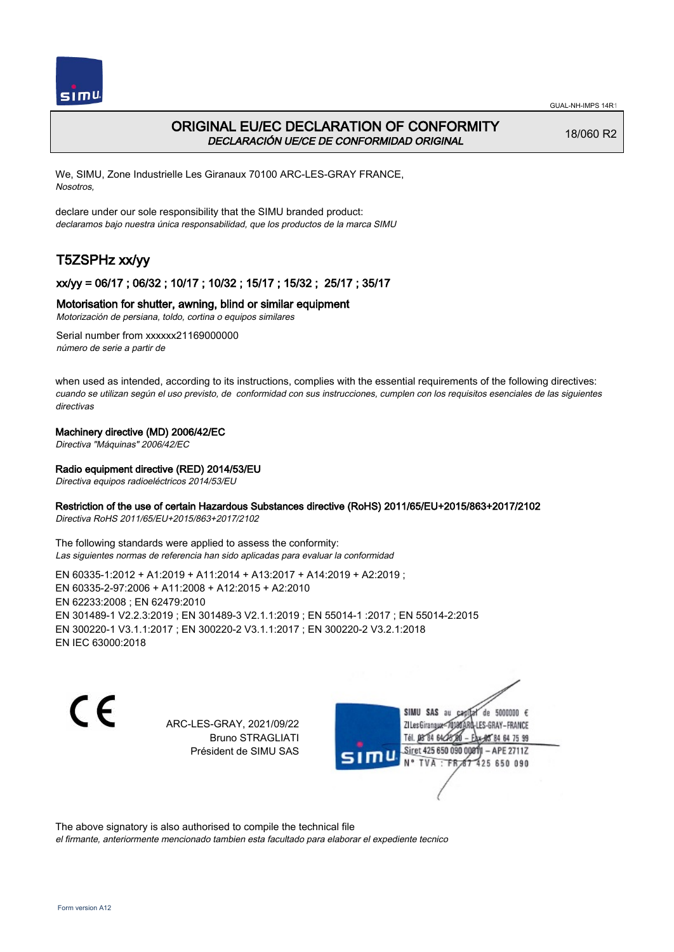

# ORIGINAL EU/EC DECLARATION OF CONFORMITY DECLARACIÓN UE/CE DE CONFORMIDAD ORIGINAL

18/060 R2

We, SIMU, Zone Industrielle Les Giranaux 70100 ARC-LES-GRAY FRANCE, Nosotros,

declare under our sole responsibility that the SIMU branded product: declaramos bajo nuestra única responsabilidad, que los productos de la marca SIMU

# T5ZSPHz xx/yy

## xx/yy = 06/17 ; 06/32 ; 10/17 ; 10/32 ; 15/17 ; 15/32 ; 25/17 ; 35/17

## Motorisation for shutter, awning, blind or similar equipment

Motorización de persiana, toldo, cortina o equipos similares

Serial number from xxxxxx21169000000 número de serie a partir de

when used as intended, according to its instructions, complies with the essential requirements of the following directives: cuando se utilizan según el uso previsto, de conformidad con sus instrucciones, cumplen con los requisitos esenciales de las siguientes directivas

#### Machinery directive (MD) 2006/42/EC

Directiva "Máquinas" 2006/42/EC

#### Radio equipment directive (RED) 2014/53/EU

Directiva equipos radioeléctricos 2014/53/EU

#### Restriction of the use of certain Hazardous Substances directive (RoHS) 2011/65/EU+2015/863+2017/2102

Directiva RoHS 2011/65/EU+2015/863+2017/2102

The following standards were applied to assess the conformity: Las siguientes normas de referencia han sido aplicadas para evaluar la conformidad

EN 60335‑1:2012 + A1:2019 + A11:2014 + A13:2017 + A14:2019 + A2:2019 ; EN 60335‑2‑97:2006 + A11:2008 + A12:2015 + A2:2010 EN 62233:2008 ; EN 62479:2010 EN 301489‑1 V2.2.3:2019 ; EN 301489‑3 V2.1.1:2019 ; EN 55014‑1 :2017 ; EN 55014‑2:2015 EN 300220‑1 V3.1.1:2017 ; EN 300220‑2 V3.1.1:2017 ; EN 300220‑2 V3.2.1:2018 EN IEC 63000:2018

C E

ARC-LES-GRAY, 2021/09/22 Bruno STRAGLIATI Président de SIMU SAS

SIMU SAS au de 5000000  $\epsilon$ ZI Les Giranaux</r0180 LES-GRAY-FRANCE Tél. 08 84 64 24 64 75 99 Siret 425 650 090 008TV - APE 2711Z 425 650 090 TVA: FR

The above signatory is also authorised to compile the technical file

el firmante, anteriormente mencionado tambien esta facultado para elaborar el expediente tecnico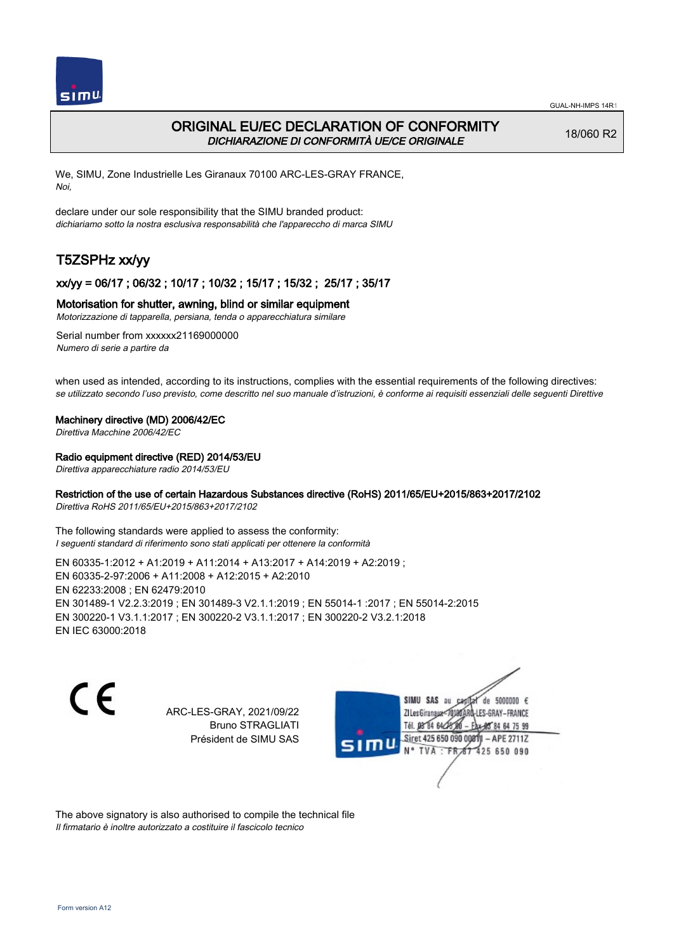

## ORIGINAL EU/EC DECLARATION OF CONFORMITY DICHIARAZIONE DI CONFORMITÀ UE/CE ORIGINALE

18/060 R2

We, SIMU, Zone Industrielle Les Giranaux 70100 ARC-LES-GRAY FRANCE, Noi,

declare under our sole responsibility that the SIMU branded product: dichiariamo sotto la nostra esclusiva responsabilità che l'appareccho di marca SIMU

# T5ZSPHz xx/yy

#### xx/yy = 06/17 ; 06/32 ; 10/17 ; 10/32 ; 15/17 ; 15/32 ; 25/17 ; 35/17

#### Motorisation for shutter, awning, blind or similar equipment

Motorizzazione di tapparella, persiana, tenda o apparecchiatura similare

Serial number from xxxxxx21169000000 Numero di serie a partire da

when used as intended, according to its instructions, complies with the essential requirements of the following directives: se utilizzato secondo l'uso previsto, come descritto nel suo manuale d'istruzioni, è conforme ai requisiti essenziali delle seguenti Direttive

#### Machinery directive (MD) 2006/42/EC

Direttiva Macchine 2006/42/EC

#### Radio equipment directive (RED) 2014/53/EU

Direttiva apparecchiature radio 2014/53/EU

### Restriction of the use of certain Hazardous Substances directive (RoHS) 2011/65/EU+2015/863+2017/2102

Direttiva RoHS 2011/65/EU+2015/863+2017/2102

The following standards were applied to assess the conformity: I seguenti standard di riferimento sono stati applicati per ottenere la conformità

EN 60335‑1:2012 + A1:2019 + A11:2014 + A13:2017 + A14:2019 + A2:2019 ; EN 60335‑2‑97:2006 + A11:2008 + A12:2015 + A2:2010 EN 62233:2008 ; EN 62479:2010 EN 301489‑1 V2.2.3:2019 ; EN 301489‑3 V2.1.1:2019 ; EN 55014‑1 :2017 ; EN 55014‑2:2015 EN 300220‑1 V3.1.1:2017 ; EN 300220‑2 V3.1.1:2017 ; EN 300220‑2 V3.2.1:2018 EN IEC 63000:2018

 $\epsilon$ 

ARC-LES-GRAY, 2021/09/22 Bruno STRAGLIATI Président de SIMU SAS



The above signatory is also authorised to compile the technical file Il firmatario è inoltre autorizzato a costituire il fascicolo tecnico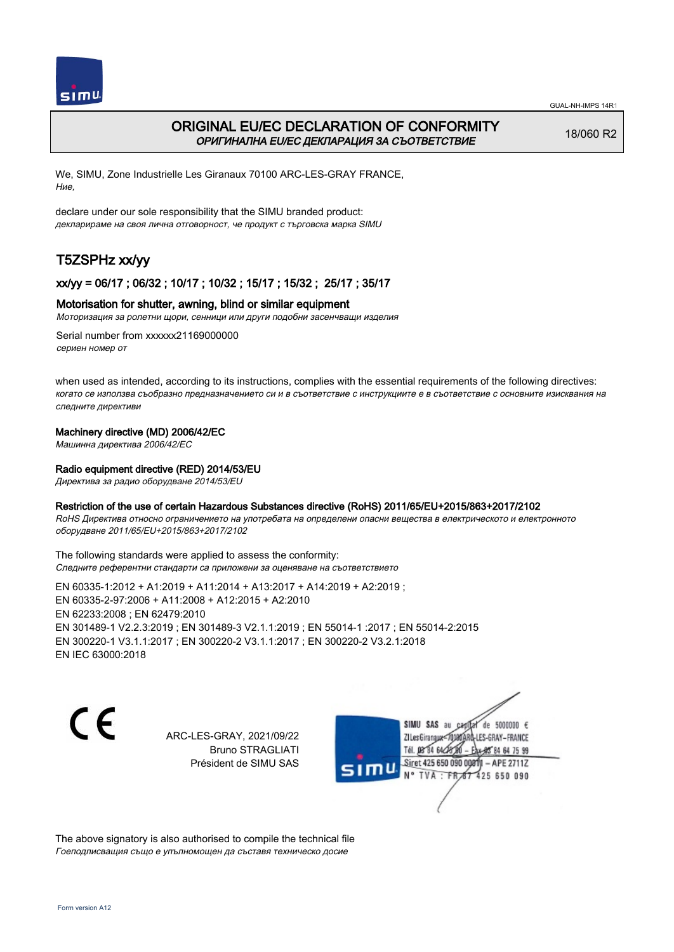

## ORIGINAL EU/EC DECLARATION OF CONFORMITY ОРИГИНАЛНА EU/EC ДЕКЛАРАЦИЯ ЗА СЪОТВЕТСТВИЕ

18/060 R2

We, SIMU, Zone Industrielle Les Giranaux 70100 ARC-LES-GRAY FRANCE, Ние,

declare under our sole responsibility that the SIMU branded product: декларираме на своя лична отговорност, че продукт с търговска марка SIMU

# T5ZSPHz xx/yy

### xx/yy = 06/17 ; 06/32 ; 10/17 ; 10/32 ; 15/17 ; 15/32 ; 25/17 ; 35/17

#### Motorisation for shutter, awning, blind or similar equipment

Моторизация за ролетни щори, сенници или други подобни засенчващи изделия

Serial number from xxxxxx21169000000 сериен номер от

when used as intended, according to its instructions, complies with the essential requirements of the following directives: когато се използва съобразно предназначението си и в съответствие с инструкциите е в съответствие с основните изисквания на следните директиви

#### Machinery directive (MD) 2006/42/EC

Машинна директива 2006/42/EC

#### Radio equipment directive (RED) 2014/53/EU

Директива за радио оборудване 2014/53/EU

#### Restriction of the use of certain Hazardous Substances directive (RoHS) 2011/65/EU+2015/863+2017/2102

RoHS Директива относно ограничението на употребата на определени опасни вещества в електрическото и електронното оборудване 2011/65/EU+2015/863+2017/2102

The following standards were applied to assess the conformity: Следните референтни стандарти са приложени за оценяване на съответствието

EN 60335‑1:2012 + A1:2019 + A11:2014 + A13:2017 + A14:2019 + A2:2019 ; EN 60335‑2‑97:2006 + A11:2008 + A12:2015 + A2:2010 EN 62233:2008 ; EN 62479:2010 EN 301489‑1 V2.2.3:2019 ; EN 301489‑3 V2.1.1:2019 ; EN 55014‑1 :2017 ; EN 55014‑2:2015 EN 300220‑1 V3.1.1:2017 ; EN 300220‑2 V3.1.1:2017 ; EN 300220‑2 V3.2.1:2018 EN IEC 63000:2018

C E

ARC-LES-GRAY, 2021/09/22 Bruno STRAGLIATI Président de SIMU SAS



The above signatory is also authorised to compile the technical file Гоеподписващия също е упълномощен да съставя техническо досие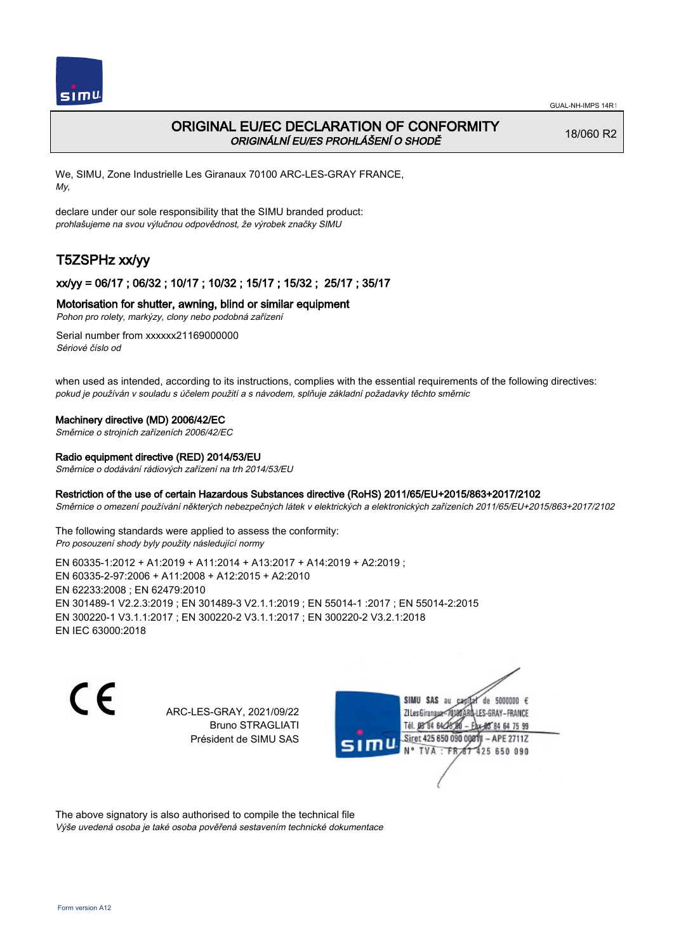

# ORIGINAL EU/EC DECLARATION OF CONFORMITY ORIGINÁLNÍ EU/ES PROHLÁŠENÍ O SHODĚ

18/060 R2

We, SIMU, Zone Industrielle Les Giranaux 70100 ARC-LES-GRAY FRANCE, My,

declare under our sole responsibility that the SIMU branded product: prohlašujeme na svou výlučnou odpovědnost, že výrobek značky SIMU

# T5ZSPHz xx/yy

## xx/yy = 06/17 ; 06/32 ; 10/17 ; 10/32 ; 15/17 ; 15/32 ; 25/17 ; 35/17

#### Motorisation for shutter, awning, blind or similar equipment

Pohon pro rolety, markýzy, clony nebo podobná zařízení

Serial number from xxxxxx21169000000 Sériové číslo od

when used as intended, according to its instructions, complies with the essential requirements of the following directives: pokud je používán v souladu s účelem použití a s návodem, splňuje základní požadavky těchto směrnic

#### Machinery directive (MD) 2006/42/EC

Směrnice o strojních zařízeních 2006/42/EC

#### Radio equipment directive (RED) 2014/53/EU

Směrnice o dodávání rádiových zařízení na trh 2014/53/EU

#### Restriction of the use of certain Hazardous Substances directive (RoHS) 2011/65/EU+2015/863+2017/2102

Směrnice o omezení používání některých nebezpečných látek v elektrických a elektronických zařízeních 2011/65/EU+2015/863+2017/2102

The following standards were applied to assess the conformity: Pro posouzení shody byly použity následující normy

EN 60335‑1:2012 + A1:2019 + A11:2014 + A13:2017 + A14:2019 + A2:2019 ; EN 60335‑2‑97:2006 + A11:2008 + A12:2015 + A2:2010 EN 62233:2008 ; EN 62479:2010 EN 301489‑1 V2.2.3:2019 ; EN 301489‑3 V2.1.1:2019 ; EN 55014‑1 :2017 ; EN 55014‑2:2015 EN 300220‑1 V3.1.1:2017 ; EN 300220‑2 V3.1.1:2017 ; EN 300220‑2 V3.2.1:2018 EN IEC 63000:2018

 $\epsilon$ 

ARC-LES-GRAY, 2021/09/22 Bruno STRAGLIATI Président de SIMU SAS



The above signatory is also authorised to compile the technical file Výše uvedená osoba je také osoba pověřená sestavením technické dokumentace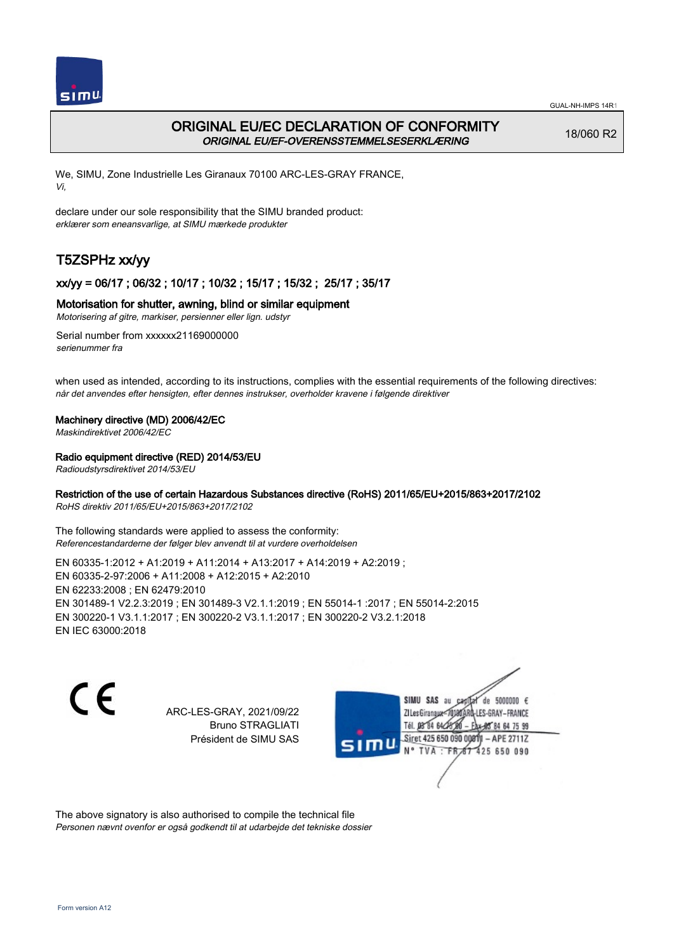

# ORIGINAL EU/EC DECLARATION OF CONFORMITY ORIGINAL EU/EF-OVERENSSTEMMELSESERKLÆRING

18/060 R2

We, SIMU, Zone Industrielle Les Giranaux 70100 ARC-LES-GRAY FRANCE, Vi,

declare under our sole responsibility that the SIMU branded product: erklærer som eneansvarlige, at SIMU mærkede produkter

# T5ZSPHz xx/yy

## xx/yy = 06/17 ; 06/32 ; 10/17 ; 10/32 ; 15/17 ; 15/32 ; 25/17 ; 35/17

### Motorisation for shutter, awning, blind or similar equipment

Motorisering af gitre, markiser, persienner eller lign. udstyr

Serial number from xxxxxx21169000000 serienummer fra

when used as intended, according to its instructions, complies with the essential requirements of the following directives: når det anvendes efter hensigten, efter dennes instrukser, overholder kravene i følgende direktiver

#### Machinery directive (MD) 2006/42/EC

Maskindirektivet 2006/42/EC

#### Radio equipment directive (RED) 2014/53/EU

Radioudstyrsdirektivet 2014/53/EU

### Restriction of the use of certain Hazardous Substances directive (RoHS) 2011/65/EU+2015/863+2017/2102

RoHS direktiv 2011/65/EU+2015/863+2017/2102

The following standards were applied to assess the conformity: Referencestandarderne der følger blev anvendt til at vurdere overholdelsen

EN 60335‑1:2012 + A1:2019 + A11:2014 + A13:2017 + A14:2019 + A2:2019 ; EN 60335‑2‑97:2006 + A11:2008 + A12:2015 + A2:2010 EN 62233:2008 ; EN 62479:2010 EN 301489‑1 V2.2.3:2019 ; EN 301489‑3 V2.1.1:2019 ; EN 55014‑1 :2017 ; EN 55014‑2:2015 EN 300220‑1 V3.1.1:2017 ; EN 300220‑2 V3.1.1:2017 ; EN 300220‑2 V3.2.1:2018 EN IEC 63000:2018

 $\epsilon$ 

ARC-LES-GRAY, 2021/09/22 Bruno STRAGLIATI Président de SIMU SAS



The above signatory is also authorised to compile the technical file Personen nævnt ovenfor er også godkendt til at udarbejde det tekniske dossier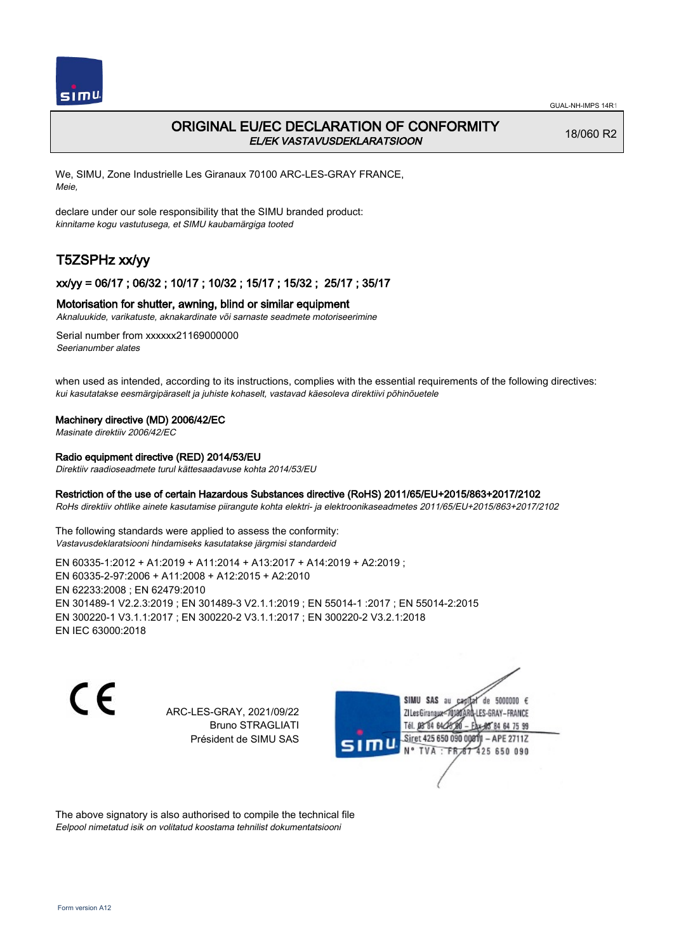

## ORIGINAL EU/EC DECLARATION OF CONFORMITY EL/EK VASTAVUSDEKLARATSIOON

18/060 R2

We, SIMU, Zone Industrielle Les Giranaux 70100 ARC-LES-GRAY FRANCE, Meie,

declare under our sole responsibility that the SIMU branded product: kinnitame kogu vastutusega, et SIMU kaubamärgiga tooted

# T5ZSPHz xx/yy

#### xx/yy = 06/17 ; 06/32 ; 10/17 ; 10/32 ; 15/17 ; 15/32 ; 25/17 ; 35/17

#### Motorisation for shutter, awning, blind or similar equipment

Aknaluukide, varikatuste, aknakardinate või sarnaste seadmete motoriseerimine

Serial number from xxxxxx21169000000 Seerianumber alates

when used as intended, according to its instructions, complies with the essential requirements of the following directives: kui kasutatakse eesmärgipäraselt ja juhiste kohaselt, vastavad käesoleva direktiivi põhinõuetele

#### Machinery directive (MD) 2006/42/EC

Masinate direktiiv 2006/42/EC

## Radio equipment directive (RED) 2014/53/EU

Direktiiv raadioseadmete turul kättesaadavuse kohta 2014/53/EU

#### Restriction of the use of certain Hazardous Substances directive (RoHS) 2011/65/EU+2015/863+2017/2102

RoHs direktiiv ohtlike ainete kasutamise piirangute kohta elektri- ja elektroonikaseadmetes 2011/65/EU+2015/863+2017/2102

The following standards were applied to assess the conformity: Vastavusdeklaratsiooni hindamiseks kasutatakse järgmisi standardeid

EN 60335‑1:2012 + A1:2019 + A11:2014 + A13:2017 + A14:2019 + A2:2019 ; EN 60335‑2‑97:2006 + A11:2008 + A12:2015 + A2:2010 EN 62233:2008 ; EN 62479:2010 EN 301489‑1 V2.2.3:2019 ; EN 301489‑3 V2.1.1:2019 ; EN 55014‑1 :2017 ; EN 55014‑2:2015 EN 300220‑1 V3.1.1:2017 ; EN 300220‑2 V3.1.1:2017 ; EN 300220‑2 V3.2.1:2018 EN IEC 63000:2018

 $\epsilon$ 

ARC-LES-GRAY, 2021/09/22 Bruno STRAGLIATI Président de SIMU SAS



The above signatory is also authorised to compile the technical file Eelpool nimetatud isik on volitatud koostama tehnilist dokumentatsiooni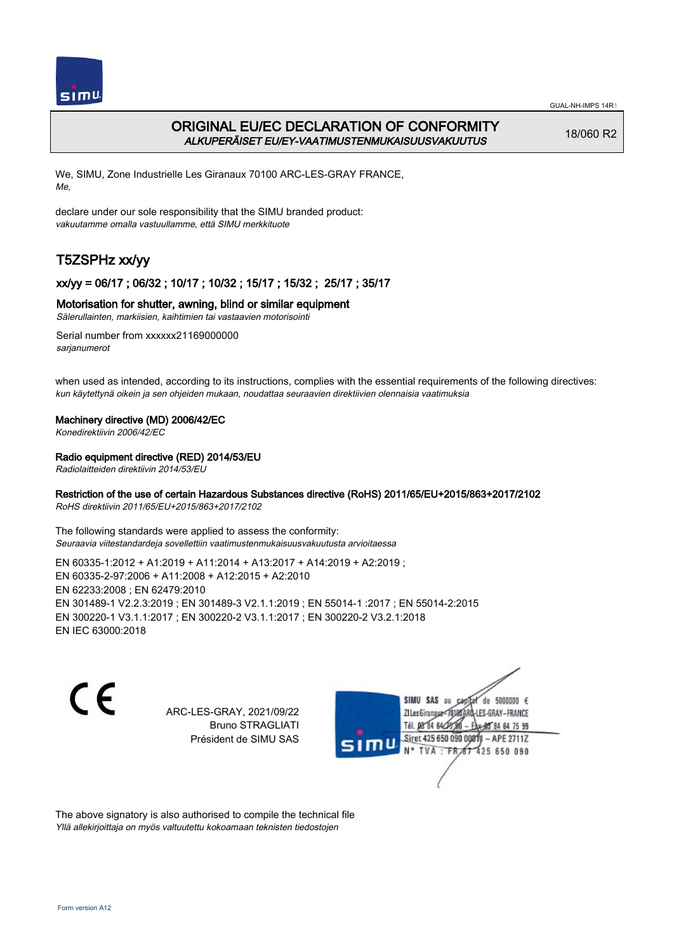

# ORIGINAL EU/EC DECLARATION OF CONFORMITY ALKUPERÄISET EU/EY-VAATIMUSTENMUKAISUUSVAKUUTUS

18/060 R2

We, SIMU, Zone Industrielle Les Giranaux 70100 ARC-LES-GRAY FRANCE, Me,

declare under our sole responsibility that the SIMU branded product: vakuutamme omalla vastuullamme, että SIMU merkkituote

# T5ZSPHz xx/yy

## xx/yy = 06/17 ; 06/32 ; 10/17 ; 10/32 ; 15/17 ; 15/32 ; 25/17 ; 35/17

#### Motorisation for shutter, awning, blind or similar equipment

Sälerullainten, markiisien, kaihtimien tai vastaavien motorisointi

Serial number from xxxxxx21169000000 sarianumerot

when used as intended, according to its instructions, complies with the essential requirements of the following directives: kun käytettynä oikein ja sen ohjeiden mukaan, noudattaa seuraavien direktiivien olennaisia vaatimuksia

#### Machinery directive (MD) 2006/42/EC

Konedirektiivin 2006/42/EC

#### Radio equipment directive (RED) 2014/53/EU

Radiolaitteiden direktiivin 2014/53/EU

### Restriction of the use of certain Hazardous Substances directive (RoHS) 2011/65/EU+2015/863+2017/2102

RoHS direktiivin 2011/65/EU+2015/863+2017/2102

The following standards were applied to assess the conformity: Seuraavia viitestandardeja sovellettiin vaatimustenmukaisuusvakuutusta arvioitaessa

EN 60335‑1:2012 + A1:2019 + A11:2014 + A13:2017 + A14:2019 + A2:2019 ; EN 60335‑2‑97:2006 + A11:2008 + A12:2015 + A2:2010 EN 62233:2008 ; EN 62479:2010 EN 301489‑1 V2.2.3:2019 ; EN 301489‑3 V2.1.1:2019 ; EN 55014‑1 :2017 ; EN 55014‑2:2015 EN 300220‑1 V3.1.1:2017 ; EN 300220‑2 V3.1.1:2017 ; EN 300220‑2 V3.2.1:2018 EN IEC 63000:2018

 $\epsilon$ 

ARC-LES-GRAY, 2021/09/22 Bruno STRAGLIATI Président de SIMU SAS



The above signatory is also authorised to compile the technical file Yllä allekirjoittaja on myös valtuutettu kokoamaan teknisten tiedostojen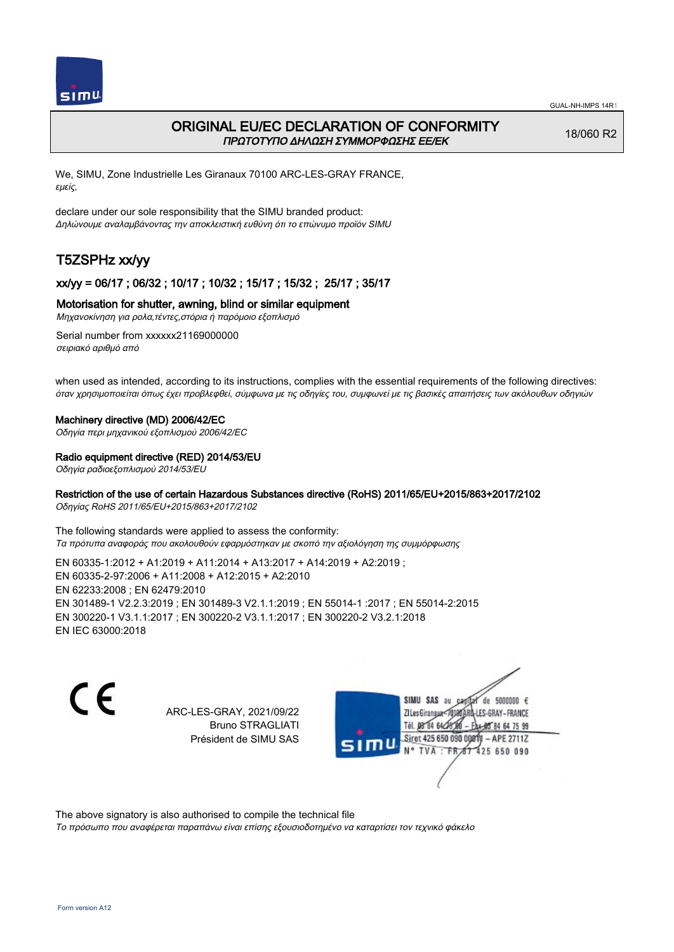

## ORIGINAL EU/EC DECLARATION OF CONFORMITY ΠΡΩΤΟΤΥΠΟ ΔΗΛΩΣΗ ΣΥΜΜΟΡΦΩΣΗΣ ΕΕ/EK

18/060 R2

We, SIMU, Zone Industrielle Les Giranaux 70100 ARC-LES-GRAY FRANCE, εμείς,

declare under our sole responsibility that the SIMU branded product: Δηλώνουμε αναλαμβάνοντας την αποκλειστική ευθύνη ότι το επώνυμο προϊόν SIMU

# T5ZSPHz xx/yy

## xx/yy = 06/17 ; 06/32 ; 10/17 ; 10/32 ; 15/17 ; 15/32 ; 25/17 ; 35/17

### Motorisation for shutter, awning, blind or similar equipment

Μηχανοκίνηση για ρολα,τέντες,στόρια ή παρόμοιο εξοπλισμό

Serial number from xxxxxx21169000000 σειριακό αριθμό από

when used as intended, according to its instructions, complies with the essential requirements of the following directives: όταν χρησιμοποιείται όπως έχει προβλεφθεί, σύμφωνα με τις οδηγίες του, συμφωνεί με τις βασικές απαιτήσεις των ακόλουθων οδηγιών

#### Machinery directive (MD) 2006/42/EC

Οδηγία περι μηχανικού εξοπλισμού 2006/42/EC

#### Radio equipment directive (RED) 2014/53/EU

Οδηγία ραδιοεξοπλισμού 2014/53/EU

#### Restriction of the use of certain Hazardous Substances directive (RoHS) 2011/65/EU+2015/863+2017/2102

Οδηγίας RoHS 2011/65/EU+2015/863+2017/2102

The following standards were applied to assess the conformity: Τα πρότυπα αναφοράς που ακολουθούν εφαρμόστηκαν με σκοπό την αξιολόγηση της συμμόρφωσης

EN 60335‑1:2012 + A1:2019 + A11:2014 + A13:2017 + A14:2019 + A2:2019 ; EN 60335‑2‑97:2006 + A11:2008 + A12:2015 + A2:2010 EN 62233:2008 ; EN 62479:2010 EN 301489‑1 V2.2.3:2019 ; EN 301489‑3 V2.1.1:2019 ; EN 55014‑1 :2017 ; EN 55014‑2:2015 EN 300220‑1 V3.1.1:2017 ; EN 300220‑2 V3.1.1:2017 ; EN 300220‑2 V3.2.1:2018 EN IEC 63000:2018

C E

ARC-LES-GRAY, 2021/09/22 Bruno STRAGLIATI Président de SIMU SAS



The above signatory is also authorised to compile the technical file

Το πρόσωπο που αναφέρεται παραπάνω είναι επίσης εξουσιοδοτημένο να καταρτίσει τον τεχνικό φάκελο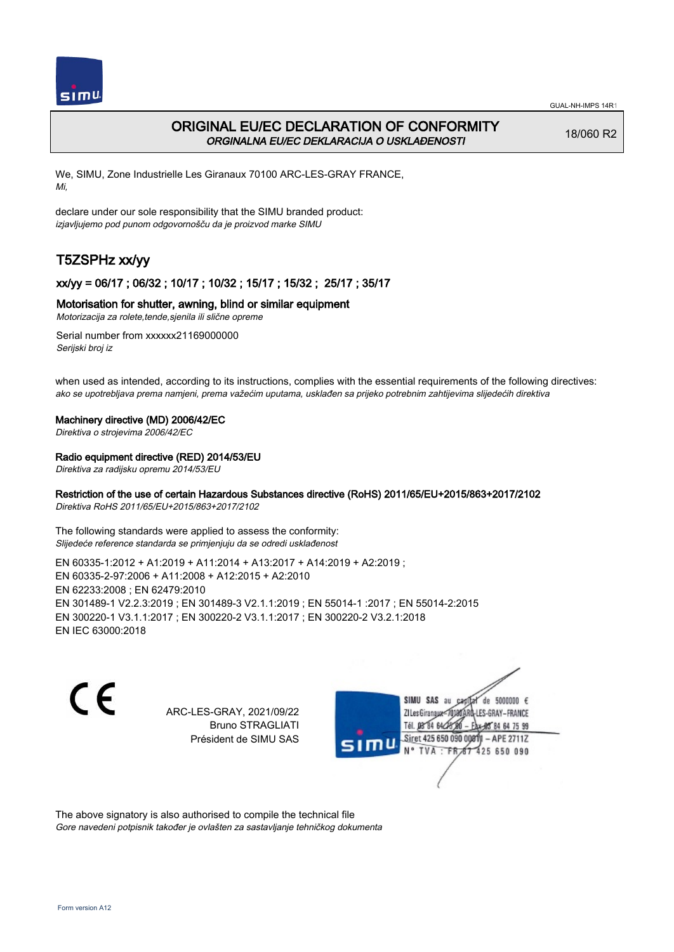

# ORIGINAL EU/EC DECLARATION OF CONFORMITY ORGINALNA EU/EC DEKLARACIJA O USKLAĐENOSTI

18/060 R2

We, SIMU, Zone Industrielle Les Giranaux 70100 ARC-LES-GRAY FRANCE, Mi,

declare under our sole responsibility that the SIMU branded product: izjavljujemo pod punom odgovornošču da je proizvod marke SIMU

# T5ZSPHz xx/yy

## xx/yy = 06/17 ; 06/32 ; 10/17 ; 10/32 ; 15/17 ; 15/32 ; 25/17 ; 35/17

#### Motorisation for shutter, awning, blind or similar equipment

Motorizacija za rolete,tende,sjenila ili slične opreme

Serial number from xxxxxx21169000000 Serijski broj iz

when used as intended, according to its instructions, complies with the essential requirements of the following directives: ako se upotrebljava prema namjeni, prema važećim uputama, usklađen sa prijeko potrebnim zahtijevima slijedećih direktiva

#### Machinery directive (MD) 2006/42/EC

Direktiva o strojevima 2006/42/EC

#### Radio equipment directive (RED) 2014/53/EU

Direktiva za radijsku opremu 2014/53/EU

### Restriction of the use of certain Hazardous Substances directive (RoHS) 2011/65/EU+2015/863+2017/2102

Direktiva RoHS 2011/65/EU+2015/863+2017/2102

The following standards were applied to assess the conformity: Slijedeće reference standarda se primjenjuju da se odredi usklađenost

EN 60335‑1:2012 + A1:2019 + A11:2014 + A13:2017 + A14:2019 + A2:2019 ; EN 60335‑2‑97:2006 + A11:2008 + A12:2015 + A2:2010 EN 62233:2008 ; EN 62479:2010 EN 301489‑1 V2.2.3:2019 ; EN 301489‑3 V2.1.1:2019 ; EN 55014‑1 :2017 ; EN 55014‑2:2015 EN 300220‑1 V3.1.1:2017 ; EN 300220‑2 V3.1.1:2017 ; EN 300220‑2 V3.2.1:2018 EN IEC 63000:2018

 $\epsilon$ 

ARC-LES-GRAY, 2021/09/22 Bruno STRAGLIATI Président de SIMU SAS



The above signatory is also authorised to compile the technical file Gore navedeni potpisnik također je ovlašten za sastavljanje tehničkog dokumenta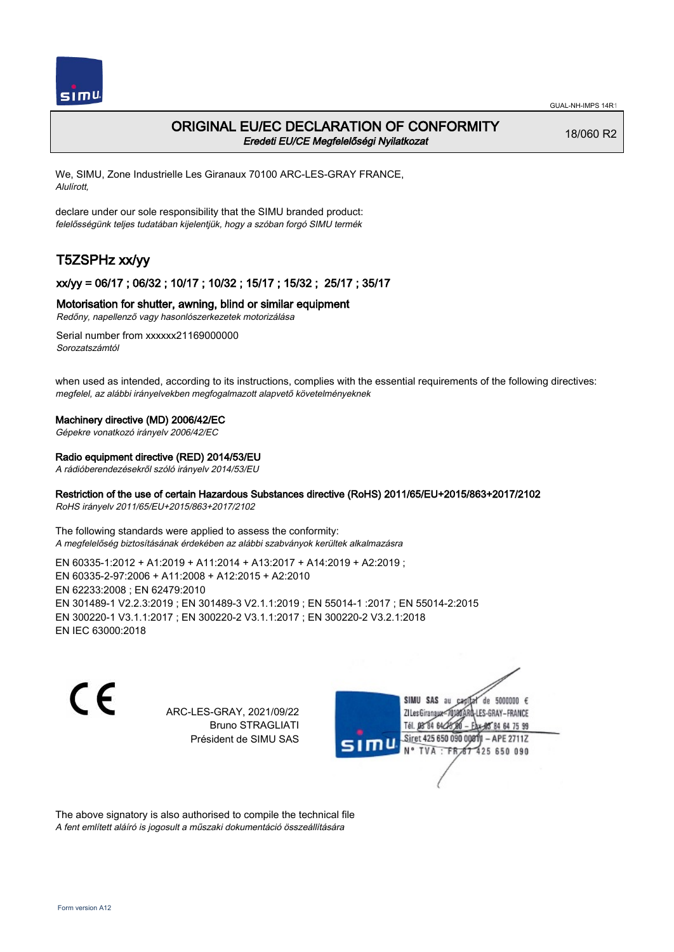

## ORIGINAL EU/EC DECLARATION OF CONFORMITY Eredeti EU/CE Megfelelőségi Nyilatkozat

18/060 R2

We, SIMU, Zone Industrielle Les Giranaux 70100 ARC-LES-GRAY FRANCE, Alulírott,

declare under our sole responsibility that the SIMU branded product: felelősségünk teljes tudatában kijelentjük, hogy a szóban forgó SIMU termék

# T5ZSPHz xx/yy

## xx/yy = 06/17 ; 06/32 ; 10/17 ; 10/32 ; 15/17 ; 15/32 ; 25/17 ; 35/17

#### Motorisation for shutter, awning, blind or similar equipment

Redőny, napellenző vagy hasonlószerkezetek motorizálása

Serial number from xxxxxx21169000000 Sorozatszámtól

when used as intended, according to its instructions, complies with the essential requirements of the following directives: megfelel, az alábbi irányelvekben megfogalmazott alapvető követelményeknek

#### Machinery directive (MD) 2006/42/EC

Gépekre vonatkozó irányelv 2006/42/EC

#### Radio equipment directive (RED) 2014/53/EU

A rádióberendezésekről szóló irányelv 2014/53/EU

### Restriction of the use of certain Hazardous Substances directive (RoHS) 2011/65/EU+2015/863+2017/2102

RoHS irányelv 2011/65/EU+2015/863+2017/2102

The following standards were applied to assess the conformity: A megfelelőség biztosításának érdekében az alábbi szabványok kerültek alkalmazásra

EN 60335‑1:2012 + A1:2019 + A11:2014 + A13:2017 + A14:2019 + A2:2019 ; EN 60335‑2‑97:2006 + A11:2008 + A12:2015 + A2:2010 EN 62233:2008 ; EN 62479:2010 EN 301489‑1 V2.2.3:2019 ; EN 301489‑3 V2.1.1:2019 ; EN 55014‑1 :2017 ; EN 55014‑2:2015 EN 300220‑1 V3.1.1:2017 ; EN 300220‑2 V3.1.1:2017 ; EN 300220‑2 V3.2.1:2018 EN IEC 63000:2018

C E

ARC-LES-GRAY, 2021/09/22 Bruno STRAGLIATI Président de SIMU SAS



The above signatory is also authorised to compile the technical file A fent említett aláíró is jogosult a műszaki dokumentáció összeállítására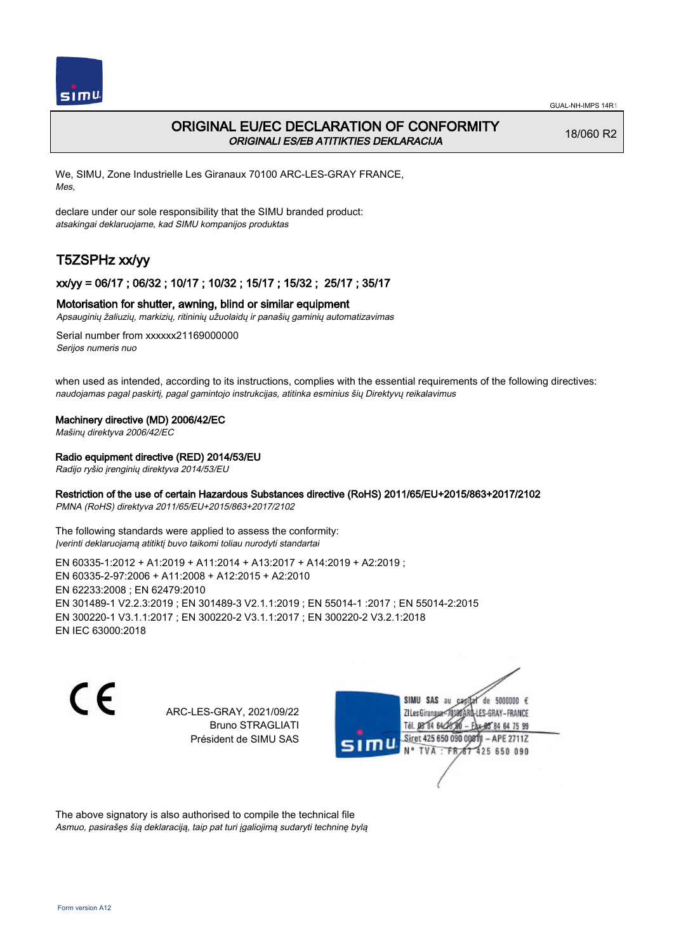

## ORIGINAL EU/EC DECLARATION OF CONFORMITY ORIGINALI ES/EB ATITIKTIES DEKLARACIJA

18/060 R2

We, SIMU, Zone Industrielle Les Giranaux 70100 ARC-LES-GRAY FRANCE, Mes,

declare under our sole responsibility that the SIMU branded product: atsakingai deklaruojame, kad SIMU kompanijos produktas

# T5ZSPHz xx/yy

#### xx/yy = 06/17 ; 06/32 ; 10/17 ; 10/32 ; 15/17 ; 15/32 ; 25/17 ; 35/17

#### Motorisation for shutter, awning, blind or similar equipment

Apsauginių žaliuzių, markizių, ritininių užuolaidų ir panašių gaminių automatizavimas

Serial number from xxxxxx21169000000 Serijos numeris nuo

when used as intended, according to its instructions, complies with the essential requirements of the following directives: naudojamas pagal paskirtį, pagal gamintojo instrukcijas, atitinka esminius šių Direktyvų reikalavimus

#### Machinery directive (MD) 2006/42/EC

Mašinų direktyva 2006/42/EC

#### Radio equipment directive (RED) 2014/53/EU

Radijo ryšio įrenginių direktyva 2014/53/EU

#### Restriction of the use of certain Hazardous Substances directive (RoHS) 2011/65/EU+2015/863+2017/2102

PMNA (RoHS) direktyva 2011/65/EU+2015/863+2017/2102

The following standards were applied to assess the conformity: Įverinti deklaruojamą atitiktį buvo taikomi toliau nurodyti standartai

EN 60335‑1:2012 + A1:2019 + A11:2014 + A13:2017 + A14:2019 + A2:2019 ; EN 60335‑2‑97:2006 + A11:2008 + A12:2015 + A2:2010 EN 62233:2008 ; EN 62479:2010 EN 301489‑1 V2.2.3:2019 ; EN 301489‑3 V2.1.1:2019 ; EN 55014‑1 :2017 ; EN 55014‑2:2015 EN 300220‑1 V3.1.1:2017 ; EN 300220‑2 V3.1.1:2017 ; EN 300220‑2 V3.2.1:2018 EN IEC 63000:2018

C E

ARC-LES-GRAY, 2021/09/22 Bruno STRAGLIATI Président de SIMU SAS



The above signatory is also authorised to compile the technical file Asmuo, pasirašęs šią deklaraciją, taip pat turi įgaliojimą sudaryti techninę bylą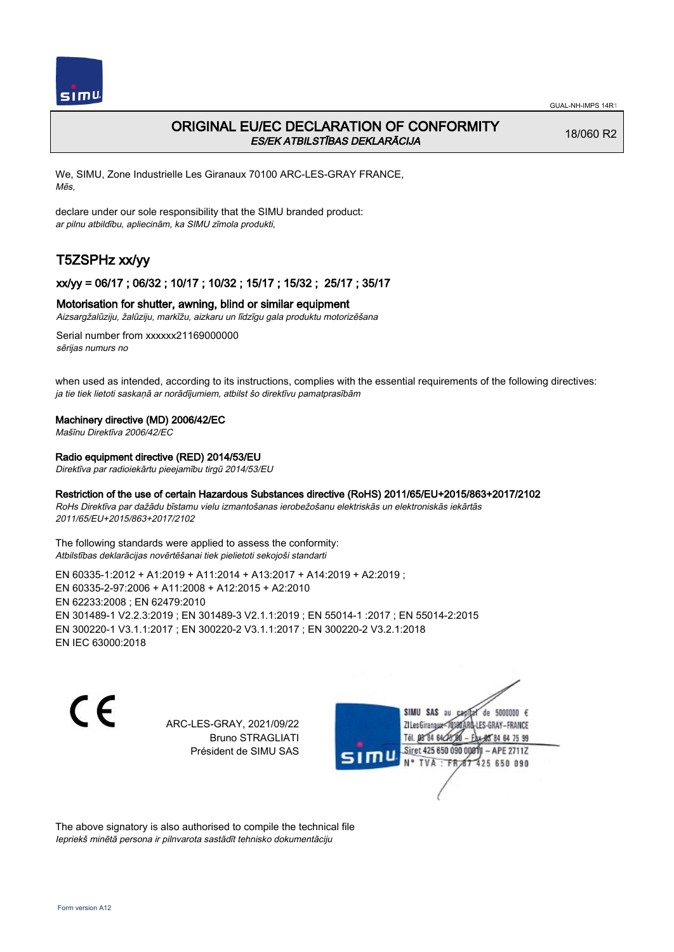

## ORIGINAL EU/EC DECLARATION OF CONFORMITY ES/EK ATBILSTĪBAS DEKLARĀCIJA

18/060 R2

We, SIMU, Zone Industrielle Les Giranaux 70100 ARC-LES-GRAY FRANCE, Mēs,

declare under our sole responsibility that the SIMU branded product: ar pilnu atbildību, apliecinām, ka SIMU zīmola produkti,

# T5ZSPHz xx/yy

### xx/yy = 06/17 ; 06/32 ; 10/17 ; 10/32 ; 15/17 ; 15/32 ; 25/17 ; 35/17

#### Motorisation for shutter, awning, blind or similar equipment

Aizsargžalūziju, žalūziju, markīžu, aizkaru un līdzīgu gala produktu motorizēšana

Serial number from xxxxxx21169000000 sērijas numurs no

when used as intended, according to its instructions, complies with the essential requirements of the following directives: ja tie tiek lietoti saskaņā ar norādījumiem, atbilst šo direktīvu pamatprasībām

#### Machinery directive (MD) 2006/42/EC

Mašīnu Direktīva 2006/42/EC

#### Radio equipment directive (RED) 2014/53/EU

Direktīva par radioiekārtu pieejamību tirgū 2014/53/EU

#### Restriction of the use of certain Hazardous Substances directive (RoHS) 2011/65/EU+2015/863+2017/2102

RoHs Direktīva par dažādu bīstamu vielu izmantošanas ierobežošanu elektriskās un elektroniskās iekārtās 2011/65/EU+2015/863+2017/2102

The following standards were applied to assess the conformity: Atbilstības deklarācijas novērtēšanai tiek pielietoti sekojoši standarti

EN 60335‑1:2012 + A1:2019 + A11:2014 + A13:2017 + A14:2019 + A2:2019 ; EN 60335‑2‑97:2006 + A11:2008 + A12:2015 + A2:2010 EN 62233:2008 ; EN 62479:2010 EN 301489‑1 V2.2.3:2019 ; EN 301489‑3 V2.1.1:2019 ; EN 55014‑1 :2017 ; EN 55014‑2:2015 EN 300220‑1 V3.1.1:2017 ; EN 300220‑2 V3.1.1:2017 ; EN 300220‑2 V3.2.1:2018 EN IEC 63000:2018

C E

ARC-LES-GRAY, 2021/09/22 Bruno STRAGLIATI Président de SIMU SAS

SIMU SAS au de 5000000  $\epsilon$ ZI Les Giranaux</r0180 LES-GRAY-FRANCE Tél. 08 84 64 28 64 75 99 Siret 425 650 090 0081) - APE 2711Z  $TVA : FRAT$ 425 650 090

The above signatory is also authorised to compile the technical file Iepriekš minētā persona ir pilnvarota sastādīt tehnisko dokumentāciju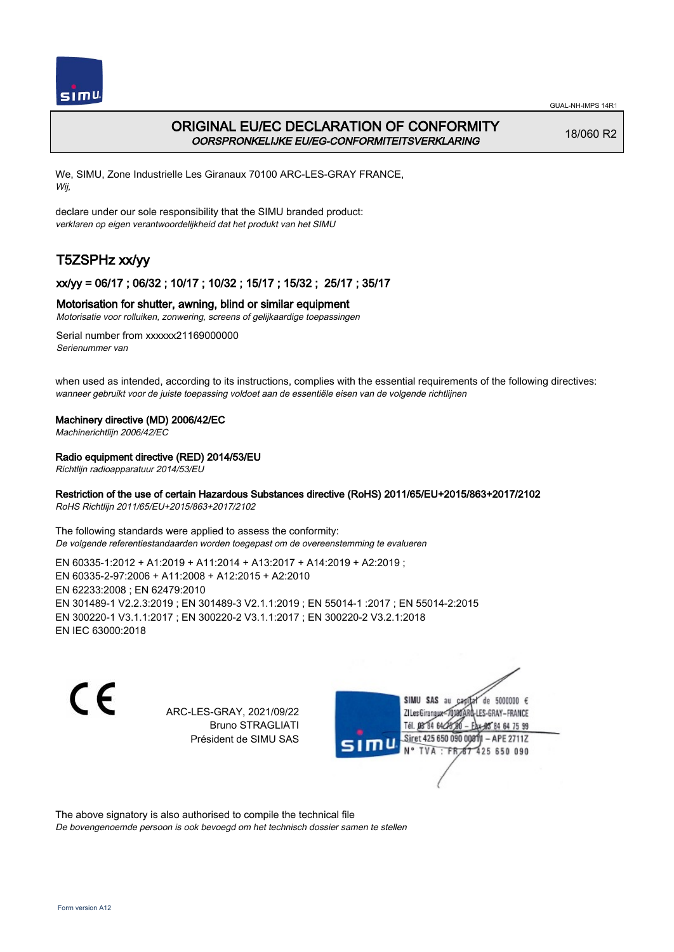

# ORIGINAL EU/EC DECLARATION OF CONFORMITY OORSPRONKELIJKE EU/EG-CONFORMITEITSVERKLARING

18/060 R2

We, SIMU, Zone Industrielle Les Giranaux 70100 ARC-LES-GRAY FRANCE, Wij,

declare under our sole responsibility that the SIMU branded product: verklaren op eigen verantwoordelijkheid dat het produkt van het SIMU

# T5ZSPHz xx/yy

## xx/yy = 06/17 ; 06/32 ; 10/17 ; 10/32 ; 15/17 ; 15/32 ; 25/17 ; 35/17

#### Motorisation for shutter, awning, blind or similar equipment

Motorisatie voor rolluiken, zonwering, screens of gelijkaardige toepassingen

Serial number from xxxxxx21169000000 Serienummer van

when used as intended, according to its instructions, complies with the essential requirements of the following directives: wanneer gebruikt voor de juiste toepassing voldoet aan de essentiële eisen van de volgende richtlijnen

#### Machinery directive (MD) 2006/42/EC

Machinerichtlijn 2006/42/EC

#### Radio equipment directive (RED) 2014/53/EU

Richtlijn radioapparatuur 2014/53/EU

#### Restriction of the use of certain Hazardous Substances directive (RoHS) 2011/65/EU+2015/863+2017/2102

RoHS Richtlijn 2011/65/EU+2015/863+2017/2102

The following standards were applied to assess the conformity: De volgende referentiestandaarden worden toegepast om de overeenstemming te evalueren

EN 60335‑1:2012 + A1:2019 + A11:2014 + A13:2017 + A14:2019 + A2:2019 ; EN 60335‑2‑97:2006 + A11:2008 + A12:2015 + A2:2010 EN 62233:2008 ; EN 62479:2010 EN 301489‑1 V2.2.3:2019 ; EN 301489‑3 V2.1.1:2019 ; EN 55014‑1 :2017 ; EN 55014‑2:2015 EN 300220‑1 V3.1.1:2017 ; EN 300220‑2 V3.1.1:2017 ; EN 300220‑2 V3.2.1:2018 EN IEC 63000:2018

 $\epsilon$ 

ARC-LES-GRAY, 2021/09/22 Bruno STRAGLIATI Président de SIMU SAS



The above signatory is also authorised to compile the technical file

De bovengenoemde persoon is ook bevoegd om het technisch dossier samen te stellen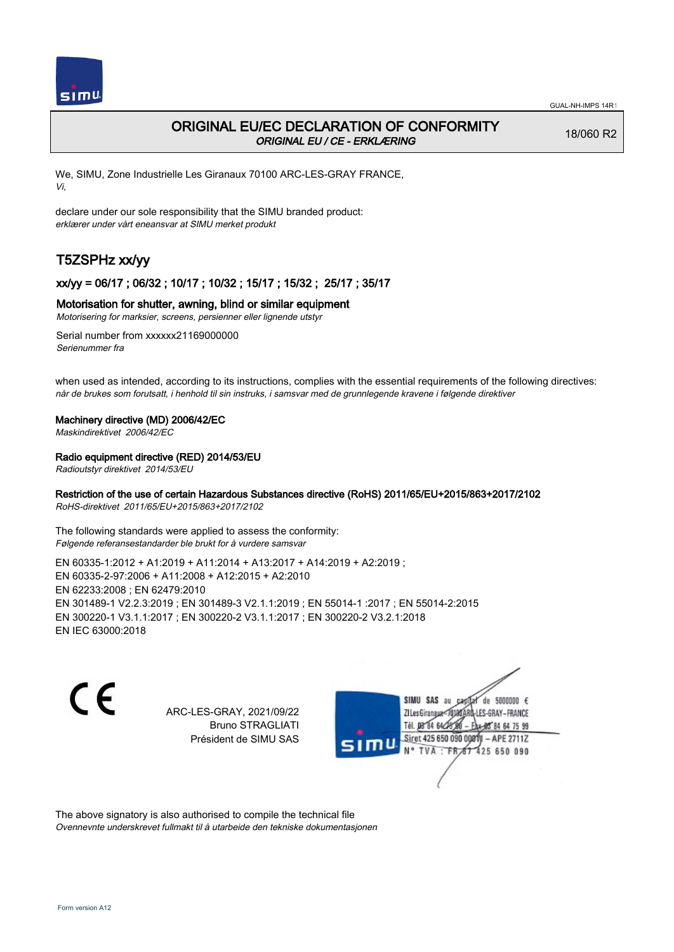

## ORIGINAL EU/EC DECLARATION OF CONFORMITY ORIGINAL EU / CE - ERKLÆRING

18/060 R2

We, SIMU, Zone Industrielle Les Giranaux 70100 ARC-LES-GRAY FRANCE, Vi,

declare under our sole responsibility that the SIMU branded product: erklærer under vårt eneansvar at SIMU merket produkt

# T5ZSPHz xx/yy

## xx/yy = 06/17 ; 06/32 ; 10/17 ; 10/32 ; 15/17 ; 15/32 ; 25/17 ; 35/17

#### Motorisation for shutter, awning, blind or similar equipment

Motorisering for marksier, screens, persienner eller lignende utstyr

Serial number from xxxxxx21169000000 Serienummer fra

when used as intended, according to its instructions, complies with the essential requirements of the following directives: når de brukes som forutsatt, i henhold til sin instruks, i samsvar med de grunnlegende kravene i følgende direktiver

#### Machinery directive (MD) 2006/42/EC

Maskindirektivet 2006/42/EC

#### Radio equipment directive (RED) 2014/53/EU

Radioutstyr direktivet 2014/53/EU

### Restriction of the use of certain Hazardous Substances directive (RoHS) 2011/65/EU+2015/863+2017/2102

RoHS-direktivet 2011/65/EU+2015/863+2017/2102

The following standards were applied to assess the conformity: Følgende referansestandarder ble brukt for å vurdere samsvar

EN 60335‑1:2012 + A1:2019 + A11:2014 + A13:2017 + A14:2019 + A2:2019 ; EN 60335‑2‑97:2006 + A11:2008 + A12:2015 + A2:2010 EN 62233:2008 ; EN 62479:2010 EN 301489‑1 V2.2.3:2019 ; EN 301489‑3 V2.1.1:2019 ; EN 55014‑1 :2017 ; EN 55014‑2:2015 EN 300220‑1 V3.1.1:2017 ; EN 300220‑2 V3.1.1:2017 ; EN 300220‑2 V3.2.1:2018 EN IEC 63000:2018

 $\epsilon$ 

ARC-LES-GRAY, 2021/09/22 Bruno STRAGLIATI Président de SIMU SAS



The above signatory is also authorised to compile the technical file Ovennevnte underskrevet fullmakt til å utarbeide den tekniske dokumentasjonen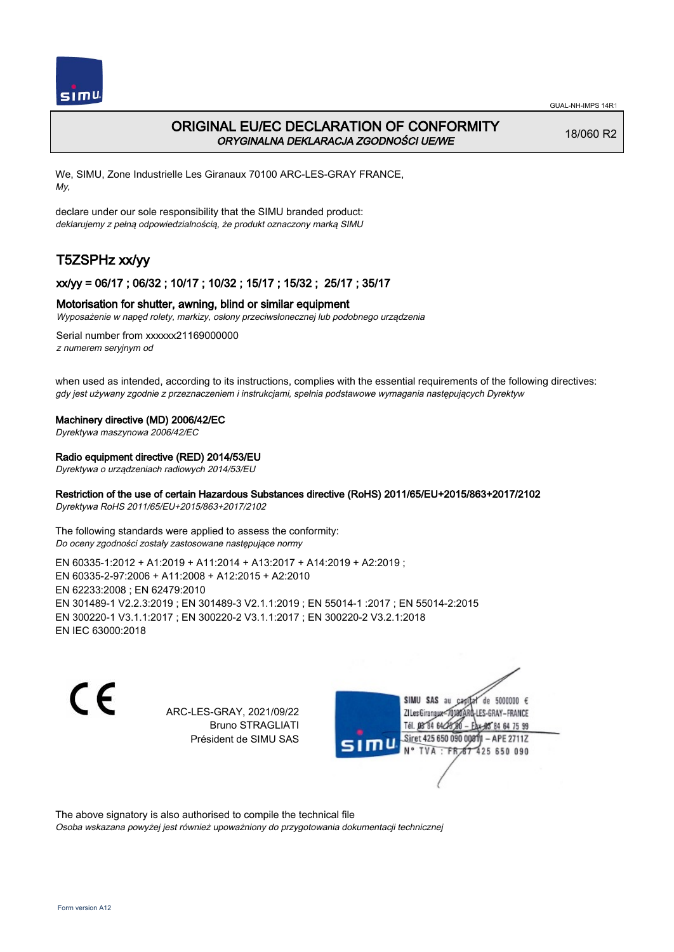

## ORIGINAL EU/EC DECLARATION OF CONFORMITY ORYGINALNA DEKLARACJA ZGODNOŚCI UE/WE

18/060 R2

We, SIMU, Zone Industrielle Les Giranaux 70100 ARC-LES-GRAY FRANCE, My,

declare under our sole responsibility that the SIMU branded product: deklarujemy z pełną odpowiedzialnością, że produkt oznaczony marką SIMU

# T5ZSPHz xx/yy

## xx/yy = 06/17 ; 06/32 ; 10/17 ; 10/32 ; 15/17 ; 15/32 ; 25/17 ; 35/17

#### Motorisation for shutter, awning, blind or similar equipment

Wyposażenie w napęd rolety, markizy, osłony przeciwsłonecznej lub podobnego urządzenia

Serial number from xxxxxx21169000000 z numerem seryjnym od

when used as intended, according to its instructions, complies with the essential requirements of the following directives: gdy jest używany zgodnie z przeznaczeniem i instrukcjami, spełnia podstawowe wymagania następujących Dyrektyw

#### Machinery directive (MD) 2006/42/EC

Dyrektywa maszynowa 2006/42/EC

#### Radio equipment directive (RED) 2014/53/EU

Dyrektywa o urządzeniach radiowych 2014/53/EU

### Restriction of the use of certain Hazardous Substances directive (RoHS) 2011/65/EU+2015/863+2017/2102

Dyrektywa RoHS 2011/65/EU+2015/863+2017/2102

The following standards were applied to assess the conformity: Do oceny zgodności zostały zastosowane następujące normy

EN 60335‑1:2012 + A1:2019 + A11:2014 + A13:2017 + A14:2019 + A2:2019 ; EN 60335‑2‑97:2006 + A11:2008 + A12:2015 + A2:2010 EN 62233:2008 ; EN 62479:2010 EN 301489‑1 V2.2.3:2019 ; EN 301489‑3 V2.1.1:2019 ; EN 55014‑1 :2017 ; EN 55014‑2:2015 EN 300220‑1 V3.1.1:2017 ; EN 300220‑2 V3.1.1:2017 ; EN 300220‑2 V3.2.1:2018 EN IEC 63000:2018

C E

ARC-LES-GRAY, 2021/09/22 Bruno STRAGLIATI Président de SIMU SAS



The above signatory is also authorised to compile the technical file

Osoba wskazana powyżej jest również upoważniony do przygotowania dokumentacji technicznej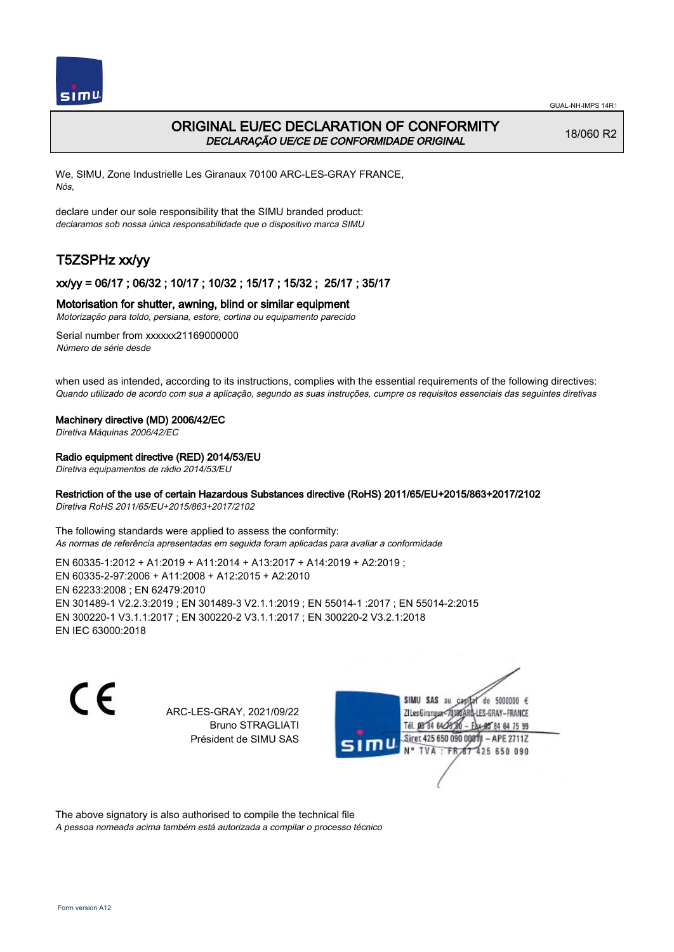

# ORIGINAL EU/EC DECLARATION OF CONFORMITY DECLARAÇÃO UE/CE DE CONFORMIDADE ORIGINAL

18/060 R2

We, SIMU, Zone Industrielle Les Giranaux 70100 ARC-LES-GRAY FRANCE, Nós,

declare under our sole responsibility that the SIMU branded product: declaramos sob nossa única responsabilidade que o dispositivo marca SIMU

# T5ZSPHz xx/yy

## xx/yy = 06/17 ; 06/32 ; 10/17 ; 10/32 ; 15/17 ; 15/32 ; 25/17 ; 35/17

#### Motorisation for shutter, awning, blind or similar equipment

Motorização para toldo, persiana, estore, cortina ou equipamento parecido

Serial number from xxxxxx21169000000 Número de série desde

when used as intended, according to its instructions, complies with the essential requirements of the following directives: Quando utilizado de acordo com sua a aplicação, segundo as suas instruções, cumpre os requisitos essenciais das seguintes diretivas

#### Machinery directive (MD) 2006/42/EC

Diretiva Máquinas 2006/42/EC

#### Radio equipment directive (RED) 2014/53/EU

Diretiva equipamentos de rádio 2014/53/EU

#### Restriction of the use of certain Hazardous Substances directive (RoHS) 2011/65/EU+2015/863+2017/2102

Diretiva RoHS 2011/65/EU+2015/863+2017/2102

The following standards were applied to assess the conformity: As normas de referência apresentadas em seguida foram aplicadas para avaliar a conformidade

EN 60335‑1:2012 + A1:2019 + A11:2014 + A13:2017 + A14:2019 + A2:2019 ; EN 60335‑2‑97:2006 + A11:2008 + A12:2015 + A2:2010 EN 62233:2008 ; EN 62479:2010 EN 301489‑1 V2.2.3:2019 ; EN 301489‑3 V2.1.1:2019 ; EN 55014‑1 :2017 ; EN 55014‑2:2015 EN 300220‑1 V3.1.1:2017 ; EN 300220‑2 V3.1.1:2017 ; EN 300220‑2 V3.2.1:2018 EN IEC 63000:2018

 $\epsilon$ 

ARC-LES-GRAY, 2021/09/22 Bruno STRAGLIATI Président de SIMU SAS



The above signatory is also authorised to compile the technical file

A pessoa nomeada acima também está autorizada a compilar o processo técnico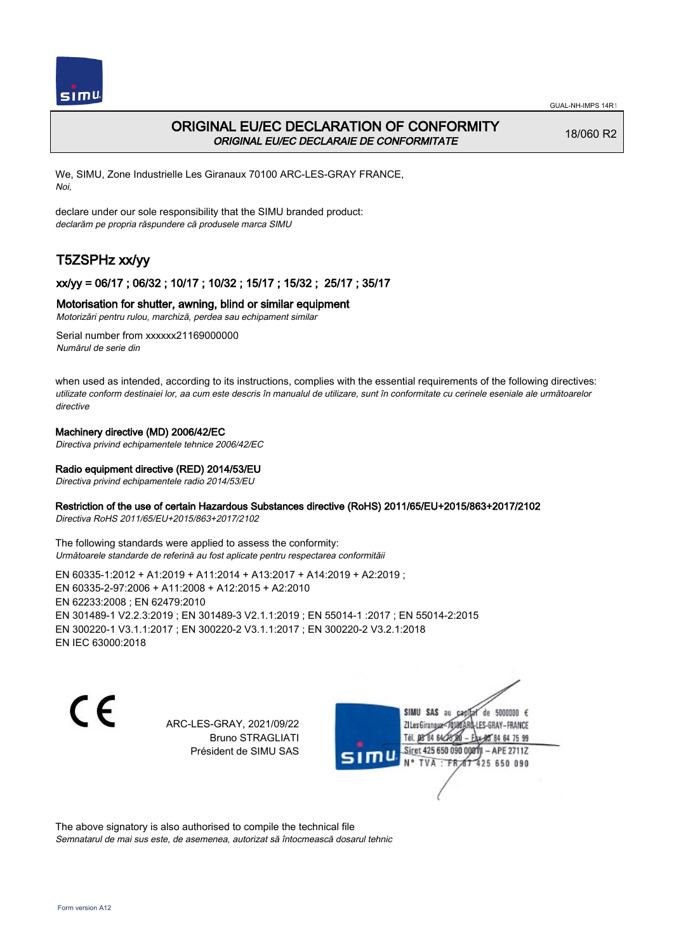

# ORIGINAL EU/EC DECLARATION OF CONFORMITY ORIGINAL EU/EC DECLARAIE DE CONFORMITATE

18/060 R2

We, SIMU, Zone Industrielle Les Giranaux 70100 ARC-LES-GRAY FRANCE, Noi,

declare under our sole responsibility that the SIMU branded product: declarăm pe propria răspundere că produsele marca SIMU

# T5ZSPHz xx/yy

## xx/yy = 06/17 ; 06/32 ; 10/17 ; 10/32 ; 15/17 ; 15/32 ; 25/17 ; 35/17

#### Motorisation for shutter, awning, blind or similar equipment

Motorizări pentru rulou, marchiză, perdea sau echipament similar

Serial number from xxxxxx21169000000 Numărul de serie din

when used as intended, according to its instructions, complies with the essential requirements of the following directives: utilizate conform destinaiei lor, aa cum este descris în manualul de utilizare, sunt în conformitate cu cerinele eseniale ale următoarelor directive

## Machinery directive (MD) 2006/42/EC

Directiva privind echipamentele tehnice 2006/42/EC

#### Radio equipment directive (RED) 2014/53/EU

Directiva privind echipamentele radio 2014/53/EU

#### Restriction of the use of certain Hazardous Substances directive (RoHS) 2011/65/EU+2015/863+2017/2102

Directiva RoHS 2011/65/EU+2015/863+2017/2102

The following standards were applied to assess the conformity: Următoarele standarde de referină au fost aplicate pentru respectarea conformităii

EN 60335‑1:2012 + A1:2019 + A11:2014 + A13:2017 + A14:2019 + A2:2019 ; EN 60335‑2‑97:2006 + A11:2008 + A12:2015 + A2:2010 EN 62233:2008 ; EN 62479:2010 EN 301489‑1 V2.2.3:2019 ; EN 301489‑3 V2.1.1:2019 ; EN 55014‑1 :2017 ; EN 55014‑2:2015 EN 300220‑1 V3.1.1:2017 ; EN 300220‑2 V3.1.1:2017 ; EN 300220‑2 V3.2.1:2018 EN IEC 63000:2018

C E

ARC-LES-GRAY, 2021/09/22 Bruno STRAGLIATI Président de SIMU SAS

SIMU SAS au de 5000000  $\epsilon$ ZI Les Giranaux-70180 LES-GRAY-FRANCE Tél. 08 84 64 24 64 75 99 Siret 425 650 090 0081) - APE 2711Z 425 650 090 TVA: FR

The above signatory is also authorised to compile the technical file Semnatarul de mai sus este, de asemenea, autorizat să întocmească dosarul tehnic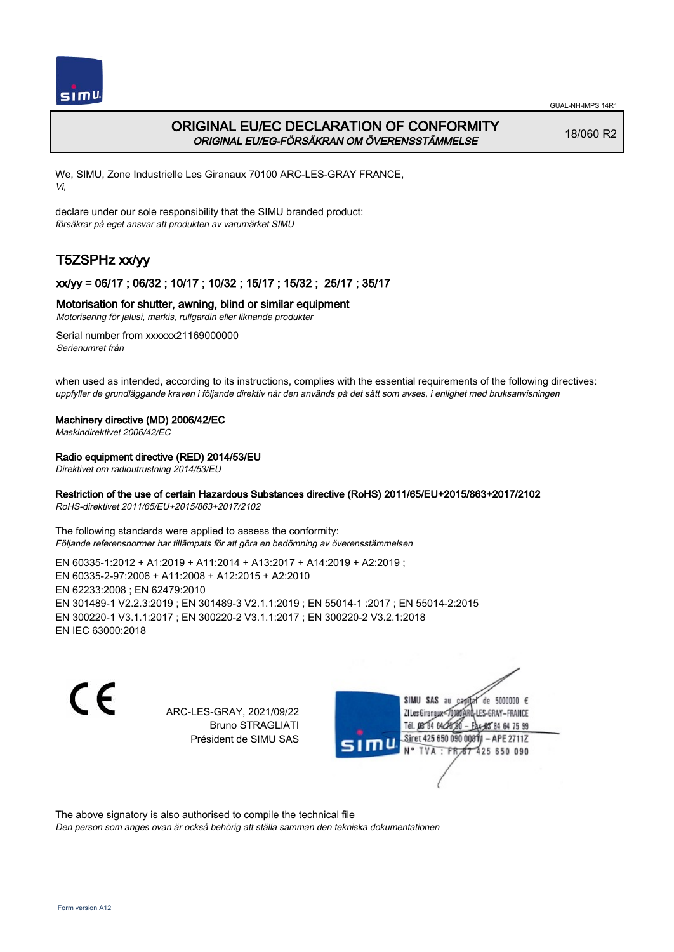

# ORIGINAL EU/EC DECLARATION OF CONFORMITY ORIGINAL EU/EG-FÖRSÄKRAN OM ÖVERENSSTÄMMELSE

18/060 R2

We, SIMU, Zone Industrielle Les Giranaux 70100 ARC-LES-GRAY FRANCE, Vi,

declare under our sole responsibility that the SIMU branded product: försäkrar på eget ansvar att produkten av varumärket SIMU

# T5ZSPHz xx/yy

## xx/yy = 06/17 ; 06/32 ; 10/17 ; 10/32 ; 15/17 ; 15/32 ; 25/17 ; 35/17

#### Motorisation for shutter, awning, blind or similar equipment

Motorisering för jalusi, markis, rullgardin eller liknande produkter

Serial number from xxxxxx21169000000 Serienumret från

when used as intended, according to its instructions, complies with the essential requirements of the following directives: uppfyller de grundläggande kraven i följande direktiv när den används på det sätt som avses, i enlighet med bruksanvisningen

#### Machinery directive (MD) 2006/42/EC

Maskindirektivet 2006/42/EC

#### Radio equipment directive (RED) 2014/53/EU

Direktivet om radioutrustning 2014/53/EU

### Restriction of the use of certain Hazardous Substances directive (RoHS) 2011/65/EU+2015/863+2017/2102

RoHS-direktivet 2011/65/EU+2015/863+2017/2102

The following standards were applied to assess the conformity: Följande referensnormer har tillämpats för att göra en bedömning av överensstämmelsen

EN 60335‑1:2012 + A1:2019 + A11:2014 + A13:2017 + A14:2019 + A2:2019 ; EN 60335‑2‑97:2006 + A11:2008 + A12:2015 + A2:2010 EN 62233:2008 ; EN 62479:2010 EN 301489‑1 V2.2.3:2019 ; EN 301489‑3 V2.1.1:2019 ; EN 55014‑1 :2017 ; EN 55014‑2:2015 EN 300220‑1 V3.1.1:2017 ; EN 300220‑2 V3.1.1:2017 ; EN 300220‑2 V3.2.1:2018 EN IEC 63000:2018

 $\epsilon$ 

ARC-LES-GRAY, 2021/09/22 Bruno STRAGLIATI Président de SIMU SAS



The above signatory is also authorised to compile the technical file

Den person som anges ovan är också behörig att ställa samman den tekniska dokumentationen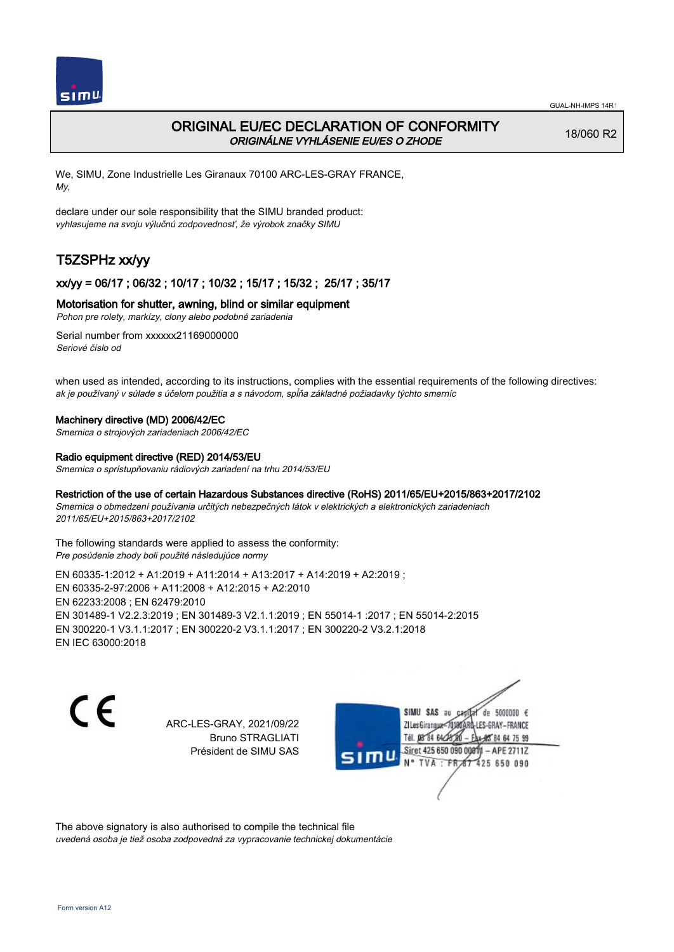

# ORIGINAL EU/EC DECLARATION OF CONFORMITY ORIGINÁLNE VYHLÁSENIE EU/ES O ZHODE

18/060 R2

We, SIMU, Zone Industrielle Les Giranaux 70100 ARC-LES-GRAY FRANCE, My,

declare under our sole responsibility that the SIMU branded product: vyhlasujeme na svoju výlučnú zodpovednosť, že výrobok značky SIMU

# T5ZSPHz xx/yy

## xx/yy = 06/17 ; 06/32 ; 10/17 ; 10/32 ; 15/17 ; 15/32 ; 25/17 ; 35/17

#### Motorisation for shutter, awning, blind or similar equipment

Pohon pre rolety, markízy, clony alebo podobné zariadenia

Serial number from xxxxxx21169000000 Seriové číslo od

when used as intended, according to its instructions, complies with the essential requirements of the following directives: ak je používaný v súlade s účelom použitia a s návodom, spĺňa základné požiadavky týchto smerníc

#### Machinery directive (MD) 2006/42/EC

Smernica o strojových zariadeniach 2006/42/EC

#### Radio equipment directive (RED) 2014/53/EU

Smernica o sprístupňovaniu rádiových zariadení na trhu 2014/53/EU

#### Restriction of the use of certain Hazardous Substances directive (RoHS) 2011/65/EU+2015/863+2017/2102

Smernica o obmedzení používania určitých nebezpečných látok v elektrických a elektronických zariadeniach 2011/65/EU+2015/863+2017/2102

The following standards were applied to assess the conformity: Pre posúdenie zhody boli použité následujúce normy

EN 60335‑1:2012 + A1:2019 + A11:2014 + A13:2017 + A14:2019 + A2:2019 ; EN 60335‑2‑97:2006 + A11:2008 + A12:2015 + A2:2010 EN 62233:2008 ; EN 62479:2010 EN 301489‑1 V2.2.3:2019 ; EN 301489‑3 V2.1.1:2019 ; EN 55014‑1 :2017 ; EN 55014‑2:2015 EN 300220‑1 V3.1.1:2017 ; EN 300220‑2 V3.1.1:2017 ; EN 300220‑2 V3.2.1:2018 EN IEC 63000:2018

C E

ARC-LES-GRAY, 2021/09/22 Bruno STRAGLIATI Président de SIMU SAS

SIMU SAS au de 5000000  $\epsilon$ ZI Les Giranaux</r0180 LES-GRAY-FRANCE Tél. 08 84 64 24 64 75 99 Siret 425 650 090 008TV - APE 2711Z 425 650 090 TVA : FRAT

The above signatory is also authorised to compile the technical file uvedená osoba je tiež osoba zodpovedná za vypracovanie technickej dokumentácie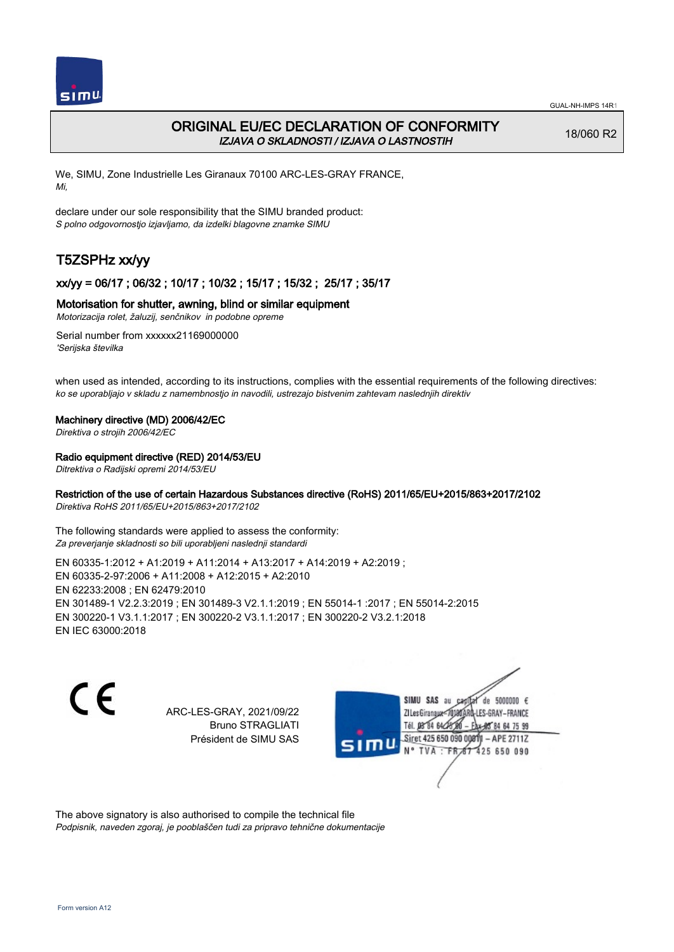

## ORIGINAL EU/EC DECLARATION OF CONFORMITY IZJAVA O SKLADNOSTI / IZJAVA O LASTNOSTIH

18/060 R2

We, SIMU, Zone Industrielle Les Giranaux 70100 ARC-LES-GRAY FRANCE, Mi,

declare under our sole responsibility that the SIMU branded product: S polno odgovornostjo izjavljamo, da izdelki blagovne znamke SIMU

# T5ZSPHz xx/yy

## xx/yy = 06/17 ; 06/32 ; 10/17 ; 10/32 ; 15/17 ; 15/32 ; 25/17 ; 35/17

#### Motorisation for shutter, awning, blind or similar equipment

Motorizacija rolet, žaluzij, senčnikov in podobne opreme

Serial number from xxxxxx21169000000 'Serijska številka

when used as intended, according to its instructions, complies with the essential requirements of the following directives: ko se uporabljajo v skladu z namembnostjo in navodili, ustrezajo bistvenim zahtevam naslednjih direktiv

#### Machinery directive (MD) 2006/42/EC

Direktiva o strojih 2006/42/EC

#### Radio equipment directive (RED) 2014/53/EU

Ditrektiva o Radijski opremi 2014/53/EU

### Restriction of the use of certain Hazardous Substances directive (RoHS) 2011/65/EU+2015/863+2017/2102

Direktiva RoHS 2011/65/EU+2015/863+2017/2102

The following standards were applied to assess the conformity: Za preverjanje skladnosti so bili uporabljeni naslednji standardi

EN 60335‑1:2012 + A1:2019 + A11:2014 + A13:2017 + A14:2019 + A2:2019 ; EN 60335‑2‑97:2006 + A11:2008 + A12:2015 + A2:2010 EN 62233:2008 ; EN 62479:2010 EN 301489‑1 V2.2.3:2019 ; EN 301489‑3 V2.1.1:2019 ; EN 55014‑1 :2017 ; EN 55014‑2:2015 EN 300220‑1 V3.1.1:2017 ; EN 300220‑2 V3.1.1:2017 ; EN 300220‑2 V3.2.1:2018 EN IEC 63000:2018

 $\epsilon$ 

ARC-LES-GRAY, 2021/09/22 Bruno STRAGLIATI Président de SIMU SAS



The above signatory is also authorised to compile the technical file Podpisnik, naveden zgoraj, je pooblaščen tudi za pripravo tehnične dokumentacije